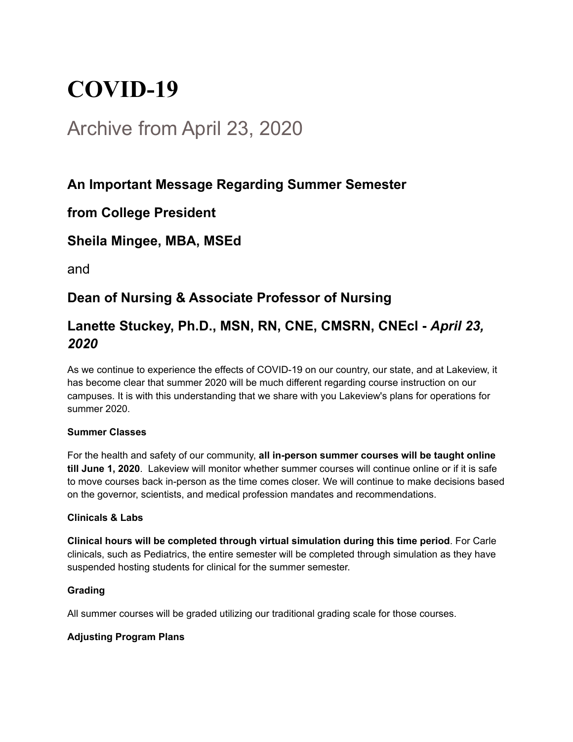# **COVID-19**

## Archive from April 23, 2020

## **An Important Message Regarding Summer Semester**

## **from College President**

## **Sheila Mingee, MBA, MSEd**

and

## **Dean of Nursing & Associate Professor of Nursing**

## **Lanette Stuckey, Ph.D., MSN, RN, CNE, CMSRN, CNEcl -** *April 23, 2020*

As we continue to experience the effects of COVID-19 on our country, our state, and at Lakeview, it has become clear that summer 2020 will be much different regarding course instruction on our campuses. It is with this understanding that we share with you Lakeview's plans for operations for summer 2020.

#### **Summer Classes**

For the health and safety of our community, **all in-person summer courses will be taught online till June 1, 2020**. Lakeview will monitor whether summer courses will continue online or if it is safe to move courses back in-person as the time comes closer. We will continue to make decisions based on the governor, scientists, and medical profession mandates and recommendations.

#### **Clinicals & Labs**

**Clinical hours will be completed through virtual simulation during this time period**. For Carle clinicals, such as Pediatrics, the entire semester will be completed through simulation as they have suspended hosting students for clinical for the summer semester.

#### **Grading**

All summer courses will be graded utilizing our traditional grading scale for those courses.

#### **Adjusting Program Plans**